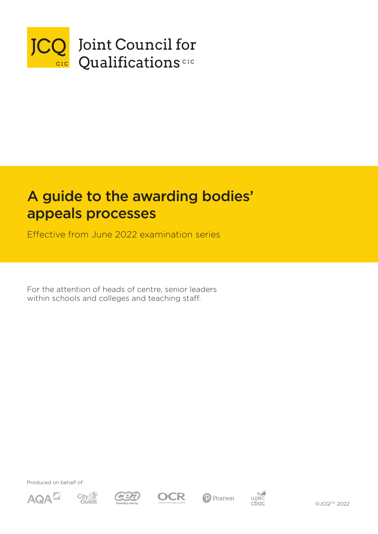

# A guide to the awarding bodies' appeals processes

Effective from June 2022 examination series

For the attention of heads of centre, senior leaders within schools and colleges and teaching staff.

Produced on behalf of:













©JCQCIC 2022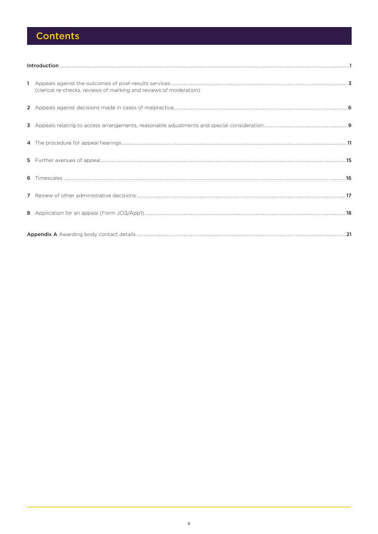## **Contents**

| (clerical re-checks, reviews of marking and reviews of moderation) |  |  |  |
|--------------------------------------------------------------------|--|--|--|
|                                                                    |  |  |  |
|                                                                    |  |  |  |
|                                                                    |  |  |  |
|                                                                    |  |  |  |
|                                                                    |  |  |  |
|                                                                    |  |  |  |
|                                                                    |  |  |  |
|                                                                    |  |  |  |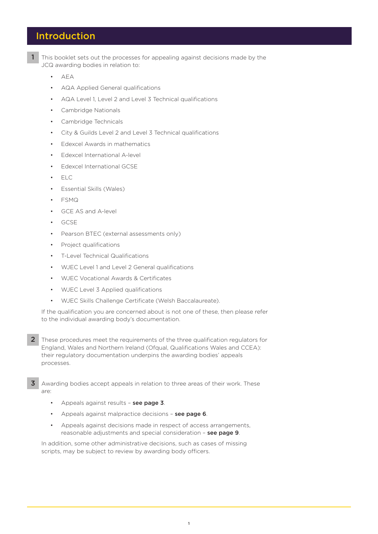### Introduction

- 1 This booklet sets out the processes for appealing against decisions made by the JCQ awarding bodies in relation to:
	- AEA
	- AQA Applied General qualifications
	- AQA Level 1, Level 2 and Level 3 Technical qualifications
	- Cambridge Nationals
	- Cambridge Technicals
	- City & Guilds Level 2 and Level 3 Technical qualifications
	- Edexcel Awards in mathematics
	- Edexcel International A-level
	- Edexcel International GCSE
	- ELC
	- Essential Skills (Wales)
	- FSMQ
	- GCE AS and A-level
	- GCSE
	- Pearson BTEC (external assessments only)
	- Project qualifications
	- T-Level Technical Qualifications
	- WJEC Level 1 and Level 2 General qualifications
	- WJEC Vocational Awards & Certificates
	- WJEC Level 3 Applied qualifications
	- WJEC Skills Challenge Certificate (Welsh Baccalaureate).

If the qualification you are concerned about is not one of these, then please refer to the individual awarding body's documentation.

- 2 These procedures meet the requirements of the three qualification regulators for England, Wales and Northern Ireland (Ofqual, Qualifications Wales and CCEA): their regulatory documentation underpins the awarding bodies' appeals processes.
- 3 Awarding bodies accept appeals in relation to three areas of their work. These are:
	- Appeals against results see page 3.
	- Appeals against malpractice decisions see page 6.
	- Appeals against decisions made in respect of access arrangements, reasonable adjustments and special consideration – see page 9.

In addition, some other administrative decisions, such as cases of missing scripts, may be subject to review by awarding body officers.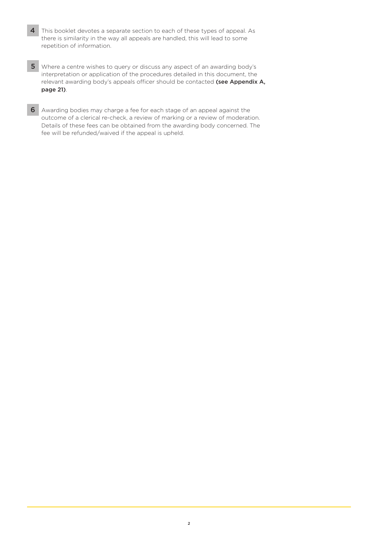- 4 This booklet devotes a separate section to each of these types of appeal. As there is similarity in the way all appeals are handled, this will lead to some repetition of information.
- 5 Where a centre wishes to query or discuss any aspect of an awarding body's interpretation or application of the procedures detailed in this document, the relevant awarding body's appeals officer should be contacted (see Appendix A, page 21).
- 6 Awarding bodies may charge a fee for each stage of an appeal against the outcome of a clerical re-check, a review of marking or a review of moderation. Details of these fees can be obtained from the awarding body concerned. The fee will be refunded/waived if the appeal is upheld.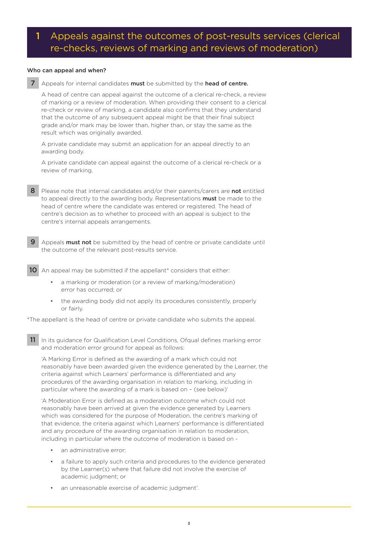### 1 Appeals against the outcomes of post-results services (clerical re-checks, reviews of marking and reviews of moderation)

### Who can appeal and when?

7 Appeals for internal candidates must be submitted by the head of centre.

A head of centre can appeal against the outcome of a clerical re-check, a review of marking or a review of moderation. When providing their consent to a clerical re-check or review of marking, a candidate also confirms that they understand that the outcome of any subsequent appeal might be that their final subject grade and/or mark may be lower than, higher than, or stay the same as the result which was originally awarded.

A private candidate may submit an application for an appeal directly to an awarding body.

A private candidate can appeal against the outcome of a clerical re-check or a review of marking.

- 8 Please note that internal candidates and/or their parents/carers are not entitled to appeal directly to the awarding body. Representations **must** be made to the head of centre where the candidate was entered or registered. The head of centre's decision as to whether to proceed with an appeal is subject to the centre's internal appeals arrangements.
- Appeals **must not** be submitted by the head of centre or private candidate until the outcome of the relevant post-results service.

10 An appeal may be submitted if the appellant<sup>\*</sup> considers that either:

- a marking or moderation (or a review of marking/moderation) error has occurred; or
- the awarding body did not apply its procedures consistently, properly or fairly.

\*The appellant is the head of centre or private candidate who submits the appeal.

11 In its guidance for Qualification Level Conditions, Ofqual defines marking error and moderation error ground for appeal as follows:

'A Marking Error is defined as the awarding of a mark which could not reasonably have been awarded given the evidence generated by the Learner, the criteria against which Learners' performance is differentiated and any procedures of the awarding organisation in relation to marking, including in particular where the awarding of a mark is based on – (see below)'

'A Moderation Error is defined as a moderation outcome which could not reasonably have been arrived at given the evidence generated by Learners which was considered for the purpose of Moderation, the centre's marking of that evidence, the criteria against which Learners' performance is differentiated and any procedure of the awarding organisation in relation to moderation, including in particular where the outcome of moderation is based on -

- an administrative error;
- a failure to apply such criteria and procedures to the evidence generated by the Learner(s) where that failure did not involve the exercise of academic judgment; or
- an unreasonable exercise of academic judgment'.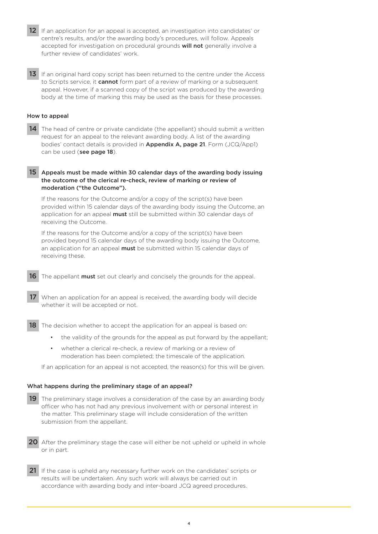- 12 If an application for an appeal is accepted, an investigation into candidates' or centre's results, and/or the awarding body's procedures, will follow. Appeals accepted for investigation on procedural grounds will not generally involve a further review of candidates' work.
- 13 If an original hard copy script has been returned to the centre under the Access to Scripts service, it **cannot** form part of a review of marking or a subsequent appeal. However, if a scanned copy of the script was produced by the awarding body at the time of marking this may be used as the basis for these processes.

### How to appeal

14 The head of centre or private candidate (the appellant) should submit a written request for an appeal to the relevant awarding body. A list of the awarding bodies' contact details is provided in Appendix A, page 21. Form (JCQ/App1) can be used (see page 18).

### 15 Appeals must be made within 30 calendar days of the awarding body issuing the outcome of the clerical re-check, review of marking or review of moderation ("the Outcome").

If the reasons for the Outcome and/or a copy of the script(s) have been provided within 15 calendar days of the awarding body issuing the Outcome, an application for an appeal must still be submitted within 30 calendar days of receiving the Outcome.

If the reasons for the Outcome and/or a copy of the script(s) have been provided beyond 15 calendar days of the awarding body issuing the Outcome, an application for an appeal **must** be submitted within 15 calendar days of receiving these.

16 The appellant must set out clearly and concisely the grounds for the appeal.

17 When an application for an appeal is received, the awarding body will decide whether it will be accepted or not.

**18** The decision whether to accept the application for an appeal is based on:

- the validity of the grounds for the appeal as put forward by the appellant;
- whether a clerical re-check, a review of marking or a review of moderation has been completed; the timescale of the application.

If an application for an appeal is not accepted, the reason(s) for this will be given.

#### What happens during the preliminary stage of an appeal?

- 19 The preliminary stage involves a consideration of the case by an awarding body officer who has not had any previous involvement with or personal interest in the matter. This preliminary stage will include consideration of the written submission from the appellant.
- 20 After the preliminary stage the case will either be not upheld or upheld in whole or in part.
- 21 If the case is upheld any necessary further work on the candidates' scripts or results will be undertaken. Any such work will always be carried out in accordance with awarding body and inter-board JCQ agreed procedures.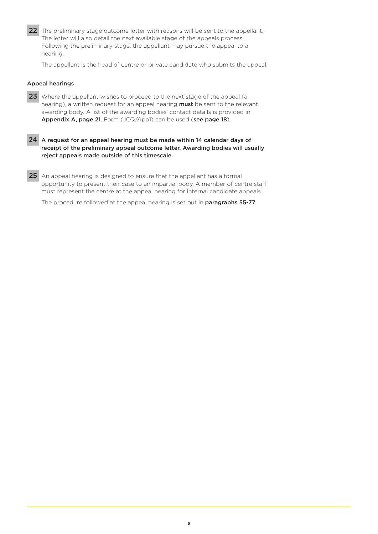22 The preliminary stage outcome letter with reasons will be sent to the appellant. The letter will also detail the next available stage of the appeals process. Following the preliminary stage, the appellant may pursue the appeal to a hearing.

The appellant is the head of centre or private candidate who submits the appeal.

### Appeal hearings

- 23 Where the appellant wishes to proceed to the next stage of the appeal (a hearing), a written request for an appeal hearing must be sent to the relevant awarding body. A list of the awarding bodies' contact details is provided in Appendix A, page 21. Form (JCQ/App1) can be used (see page 18).
- 24 A request for an appeal hearing must be made within 14 calendar days of receipt of the preliminary appeal outcome letter. Awarding bodies will usually reject appeals made outside of this timescale.
- 25 An appeal hearing is designed to ensure that the appellant has a formal opportunity to present their case to an impartial body. A member of centre staff must represent the centre at the appeal hearing for internal candidate appeals.

The procedure followed at the appeal hearing is set out in **paragraphs 55-77**.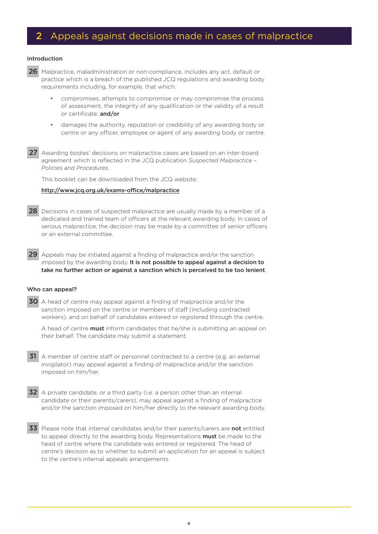### 2 Appeals against decisions made in cases of malpractice

#### Introduction

26 Malpractice, maladministration or non-compliance, includes any act, default or practice which is a breach of the published JCQ regulations and awarding body requirements including, for example, that which:

- compromises, attempts to compromise or may compromise the process of assessment, the integrity of any qualification or the validity of a result or certificate; and/or
- damages the authority, reputation or credibility of any awarding body or centre or any officer, employee or agent of any awarding body or centre.
- 27 Awarding bodies' decisions on malpractice cases are based on an inter-board agreement which is reflected in the JCQ publication *Suspected Malpractice – Policies and Procedures*.

This booklet can be downloaded from the JCQ website:

### [http://www.jcq.org.uk/exams-office/malpractice](https://www.jcq.org.uk/exams-office/malpractice)

- 28 Decisions in cases of suspected malpractice are usually made by a member of a dedicated and trained team of officers at the relevant awarding body. In cases of serious malpractice, the decision may be made by a committee of senior officers or an external committee.
- 29 Appeals may be initiated against a finding of malpractice and/or the sanction imposed by the awarding body. It is not possible to appeal against a decision to take no further action or against a sanction which is perceived to be too lenient.

#### Who can appeal?

30 A head of centre may appeal against a finding of malpractice and/or the sanction imposed on the centre or members of staff (including contracted workers), and on behalf of candidates entered or registered through the centre.

A head of centre **must** inform candidates that he/she is submitting an appeal on their behalf. The candidate may submit a statement.

- 31 A member of centre staff or personnel contracted to a centre (e.g. an external invigilator) may appeal against a finding of malpractice and/or the sanction imposed on him/her.
- 32 A private candidate, or a third party (i.e. a person other than an internal candidate or their parents/carers), may appeal against a finding of malpractice and/or the sanction imposed on him/her directly to the relevant awarding body.
- 33 Please note that internal candidates and/or their parents/carers are not entitled to appeal directly to the awarding body. Representations **must** be made to the head of centre where the candidate was entered or registered. The head of centre's decision as to whether to submit an application for an appeal is subject to the centre's internal appeals arrangements.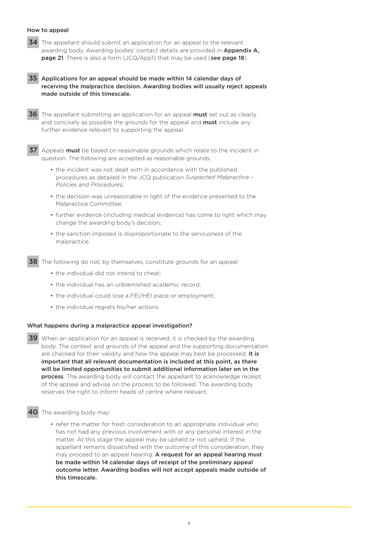### How to appeal

34 The appellant should submit an application for an appeal to the relevant awarding body. Awarding bodies' contact details are provided in **Appendix A.** page 21. There is also a form (JCQ/App1) that may be used (see page 18).

 35 Applications for an appeal should be made within 14 calendar days of receiving the malpractice decision. Awarding bodies will usually reject appeals made outside of this timescale.

36 The appellant submitting an application for an appeal must set out as clearly and concisely as possible the grounds for the appeal and **must** include any further evidence relevant to supporting the appeal.

 37 Appeals must be based on reasonable grounds which relate to the incident in question. The following are accepted as reasonable grounds:

- the incident was not dealt with in accordance with the published procedures as detailed in the JCQ publication *Suspected Malpractice – Policies and Procedures;*
- the decision was unreasonable in light of the evidence presented to the Malpractice Committee;
- further evidence (including medical evidence) has come to light which may change the awarding body's decision;
- the sanction imposed is disproportionate to the seriousness of the malpractice.

38 The following do not, by themselves, constitute grounds for an appeal:

- the individual did not intend to cheat;
- the individual has an unblemished academic record;
- the individual could lose a FEI/HEI place or employment;
- the individual regrets his/her actions.

#### What happens during a malpractice appeal investigation?

 39 When an application for an appeal is received, it is checked by the awarding body. The context and grounds of the appeal and the supporting documentation are checked for their validity and how the appeal may best be processed. It is important that all relevant documentation is included at this point, as there will be limited opportunities to submit additional information later on in the process. The awarding body will contact the appellant to acknowledge receipt of the appeal and advise on the process to be followed. The awarding body reserves the right to inform heads of centre where relevant.

### 40 The awarding body may:

• refer the matter for fresh consideration to an appropriate individual who has not had any previous involvement with or any personal interest in the matter. At this stage the appeal may be upheld or not upheld. If the appellant remains dissatisfied with the outcome of this consideration, they may proceed to an appeal hearing. A request for an appeal hearing must be made within 14 calendar days of receipt of the preliminary appeal outcome letter. Awarding bodies will not accept appeals made outside of this timescale.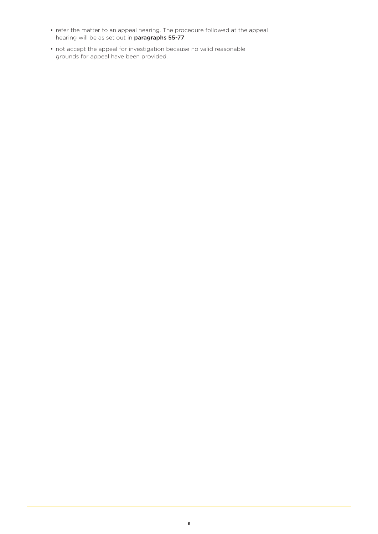- refer the matter to an appeal hearing. The procedure followed at the appeal hearing will be as set out in paragraphs 55-77;
- not accept the appeal for investigation because no valid reasonable grounds for appeal have been provided.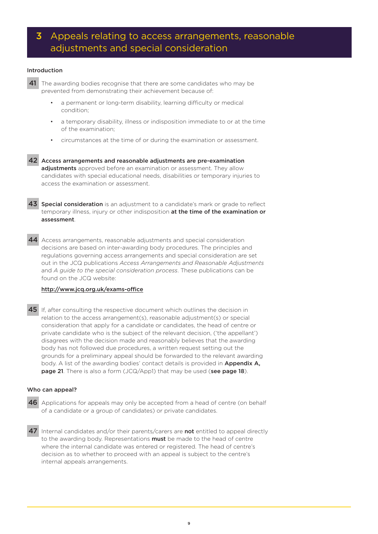### 3 Appeals relating to access arrangements, reasonable adjustments and special consideration

### Introduction

- 41 The awarding bodies recognise that there are some candidates who may be prevented from demonstrating their achievement because of:
	- a permanent or long-term disability, learning difficulty or medical condition;
	- a temporary disability, illness or indisposition immediate to or at the time of the examination;
	- circumstances at the time of or during the examination or assessment.

 42 Access arrangements and reasonable adjustments are pre-examination adjustments approved before an examination or assessment. They allow candidates with special educational needs, disabilities or temporary injuries to access the examination or assessment.

43 Special consideration is an adjustment to a candidate's mark or grade to reflect temporary illness, injury or other indisposition at the time of the examination or assessment.

44 Access arrangements, reasonable adjustments and special consideration decisions are based on inter-awarding body procedures. The principles and regulations governing access arrangements and special consideration are set out in the JCQ publications *Access Arrangements and Reasonable Adjustments* and *A guide to the special consideration process*. These publications can be found on the JCQ website:

### [http://www.jcq.org.uk/exams-office](https://www.jcq.org.uk/exams-office)

45 If, after consulting the respective document which outlines the decision in relation to the access arrangement(s), reasonable adjustment(s) or special consideration that apply for a candidate or candidates, the head of centre or private candidate who is the subject of the relevant decision, ('the appellant') disagrees with the decision made and reasonably believes that the awarding body has not followed due procedures, a written request setting out the grounds for a preliminary appeal should be forwarded to the relevant awarding body. A list of the awarding bodies' contact details is provided in Appendix A, page 21. There is also a form (JCQ/App1) that may be used (see page 18).

#### Who can appeal?

- 46 Applications for appeals may only be accepted from a head of centre (on behalf of a candidate or a group of candidates) or private candidates.
- 47 Internal candidates and/or their parents/carers are not entitled to appeal directly to the awarding body. Representations **must** be made to the head of centre where the internal candidate was entered or registered. The head of centre's decision as to whether to proceed with an appeal is subject to the centre's internal appeals arrangements.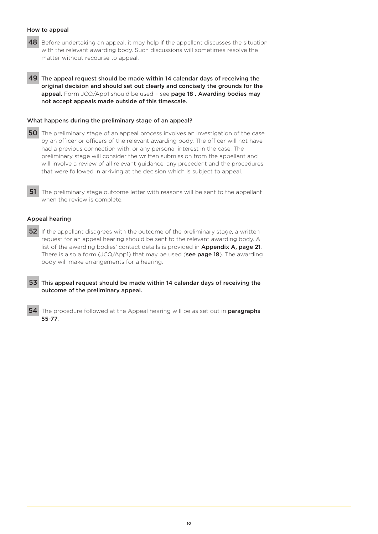### How to appeal

- 48 Before undertaking an appeal, it may help if the appellant discusses the situation with the relevant awarding body. Such discussions will sometimes resolve the matter without recourse to appeal.
- 49 The appeal request should be made within 14 calendar days of receiving the original decision and should set out clearly and concisely the grounds for the appeal. Form JCQ/App1 should be used - see page 18. Awarding bodies may not accept appeals made outside of this timescale.

#### What happens during the preliminary stage of an appeal?

- 50 The preliminary stage of an appeal process involves an investigation of the case by an officer or officers of the relevant awarding body. The officer will not have had a previous connection with, or any personal interest in the case. The preliminary stage will consider the written submission from the appellant and will involve a review of all relevant guidance, any precedent and the procedures that were followed in arriving at the decision which is subject to appeal.
- 51 The preliminary stage outcome letter with reasons will be sent to the appellant when the review is complete.

### Appeal hearing

52 If the appellant disagrees with the outcome of the preliminary stage, a written request for an appeal hearing should be sent to the relevant awarding body. A list of the awarding bodies' contact details is provided in Appendix A, page 21. There is also a form  $JCQ/Ap$ pp1) that may be used (see page 18). The awarding body will make arrangements for a hearing.

 53 This appeal request should be made within 14 calendar days of receiving the outcome of the preliminary appeal.

54 The procedure followed at the Appeal hearing will be as set out in **paragraphs** 55-77.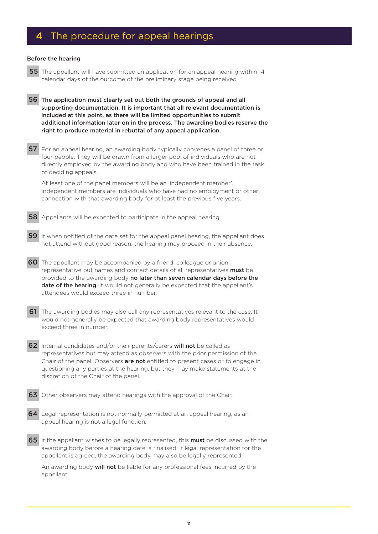### 4 The procedure for appeal hearings

#### Before the hearing

- 55 The appellant will have submitted an application for an appeal hearing within 14 calendar days of the outcome of the preliminary stage being received.
- 56 The application must clearly set out both the grounds of appeal and all supporting documentation. It is important that all relevant documentation is included at this point, as there will be limited opportunities to submit additional information later on in the process. The awarding bodies reserve the right to produce material in rebuttal of any appeal application.
- 57 For an appeal hearing, an awarding body typically convenes a panel of three or four people. They will be drawn from a larger pool of individuals who are not directly employed by the awarding body and who have been trained in the task of deciding appeals.

At least one of the panel members will be an 'independent member'. Independent members are individuals who have had no employment or other connection with that awarding body for at least the previous five years.

- **58** Appellants will be expected to participate in the appeal hearing.
- 59 If when notified of the date set for the appeal panel hearing, the appellant does not attend without good reason, the hearing may proceed in their absence.
- 60 The appellant may be accompanied by a friend, colleague or union representative but names and contact details of all representatives must be provided to the awarding body no later than seven calendar days before the **date of the hearing**. It would not generally be expected that the appellant's attendees would exceed three in number.
- 61 The awarding bodies may also call any representatives relevant to the case. It would not generally be expected that awarding body representatives would exceed three in number.
- 62 Internal candidates and/or their parents/carers will not be called as representatives but may attend as observers with the prior permission of the Chair of the panel. Observers are not entitled to present cases or to engage in questioning any parties at the hearing, but they may make statements at the discretion of the Chair of the panel.
- 63 Other observers may attend hearings with the approval of the Chair.
- 64 Legal representation is not normally permitted at an appeal hearing, as an appeal hearing is not a legal function.
- 65 If the appellant wishes to be legally represented, this must be discussed with the awarding body before a hearing date is finalised. If legal representation for the appellant is agreed, the awarding body may also be legally represented.

An awarding body will not be liable for any professional fees incurred by the appellant.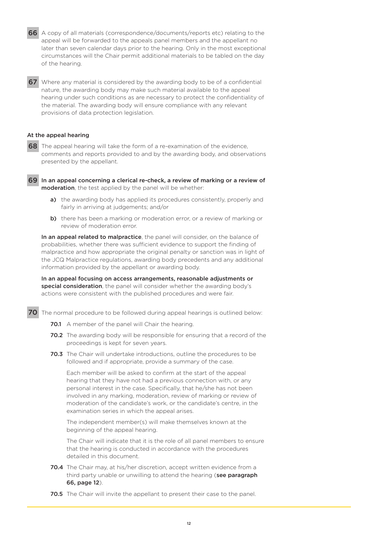66 A copy of all materials (correspondence/documents/reports etc) relating to the appeal will be forwarded to the appeals panel members and the appellant no later than seven calendar days prior to the hearing. Only in the most exceptional circumstances will the Chair permit additional materials to be tabled on the day of the hearing.

67 Where any material is considered by the awarding body to be of a confidential nature, the awarding body may make such material available to the appeal hearing under such conditions as are necessary to protect the confidentiality of the material. The awarding body will ensure compliance with any relevant provisions of data protection legislation.

### At the appeal hearing

68 The appeal hearing will take the form of a re-examination of the evidence, comments and reports provided to and by the awarding body, and observations presented by the appellant.

69 In an appeal concerning a clerical re-check, a review of marking or a review of moderation, the test applied by the panel will be whether:

- a) the awarding body has applied its procedures consistently, properly and fairly in arriving at judgements; and/or
- b) there has been a marking or moderation error, or a review of marking or review of moderation error.

In an appeal related to malpractice, the panel will consider, on the balance of probabilities, whether there was sufficient evidence to support the finding of malpractice and how appropriate the original penalty or sanction was in light of the JCQ Malpractice regulations, awarding body precedents and any additional information provided by the appellant or awarding body.

In an appeal focusing on access arrangements, reasonable adjustments or special consideration, the panel will consider whether the awarding body's actions were consistent with the published procedures and were fair.

- 70 The normal procedure to be followed during appeal hearings is outlined below:
	- **70.1** A member of the panel will Chair the hearing.
	- 70.2 The awarding body will be responsible for ensuring that a record of the proceedings is kept for seven years.
	- 70.3 The Chair will undertake introductions, outline the procedures to be followed and if appropriate, provide a summary of the case.

Each member will be asked to confirm at the start of the appeal hearing that they have not had a previous connection with, or any personal interest in the case. Specifically, that he/she has not been involved in any marking, moderation, review of marking or review of moderation of the candidate's work, or the candidate's centre, in the examination series in which the appeal arises.

The independent member(s) will make themselves known at the beginning of the appeal hearing.

The Chair will indicate that it is the role of all panel members to ensure that the hearing is conducted in accordance with the procedures detailed in this document.

- 70.4 The Chair may, at his/her discretion, accept written evidence from a third party unable or unwilling to attend the hearing (see paragraph 66, page 12).
- 70.5 The Chair will invite the appellant to present their case to the panel.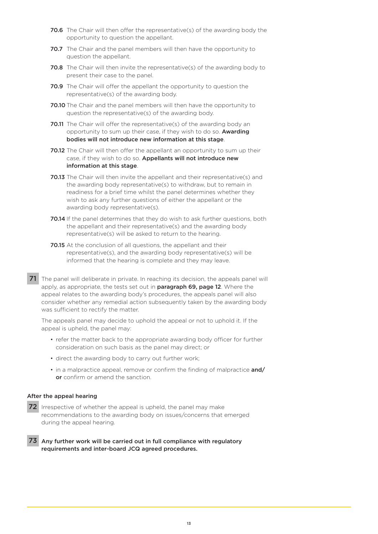- 70.6 The Chair will then offer the representative(s) of the awarding body the opportunity to question the appellant.
- 70.7 The Chair and the panel members will then have the opportunity to question the appellant.
- 70.8 The Chair will then invite the representative(s) of the awarding body to present their case to the panel.
- 70.9 The Chair will offer the appellant the opportunity to question the representative(s) of the awarding body.
- 70.10 The Chair and the panel members will then have the opportunity to question the representative(s) of the awarding body.
- 70.11 The Chair will offer the representative(s) of the awarding body an opportunity to sum up their case, if they wish to do so. **Awarding** bodies will not introduce new information at this stage.
- **70.12** The Chair will then offer the appellant an opportunity to sum up their case, if they wish to do so. Appellants will not introduce new information at this stage.
- 70.13 The Chair will then invite the appellant and their representative(s) and the awarding body representative(s) to withdraw, but to remain in readiness for a brief time whilst the panel determines whether they wish to ask any further questions of either the appellant or the awarding body representative(s).
- 70.14 If the panel determines that they do wish to ask further questions, both the appellant and their representative(s) and the awarding body representative(s) will be asked to return to the hearing.
- 70.15 At the conclusion of all questions, the appellant and their representative(s), and the awarding body representative(s) will be informed that the hearing is complete and they may leave.
- 71 The panel will deliberate in private. In reaching its decision, the appeals panel will apply, as appropriate, the tests set out in **paragraph 69, page 12**. Where the appeal relates to the awarding body's procedures, the appeals panel will also consider whether any remedial action subsequently taken by the awarding body was sufficient to rectify the matter.

The appeals panel may decide to uphold the appeal or not to uphold it. If the appeal is upheld, the panel may:

- refer the matter back to the appropriate awarding body officer for further consideration on such basis as the panel may direct; or
- direct the awarding body to carry out further work;
- in a malpractice appeal, remove or confirm the finding of malpractice and/ or confirm or amend the sanction.

### After the appeal hearing

- 72 Irrespective of whether the appeal is upheld, the panel may make recommendations to the awarding body on issues/concerns that emerged during the appeal hearing.
- 73 Any further work will be carried out in full compliance with regulatory requirements and inter-board JCQ agreed procedures.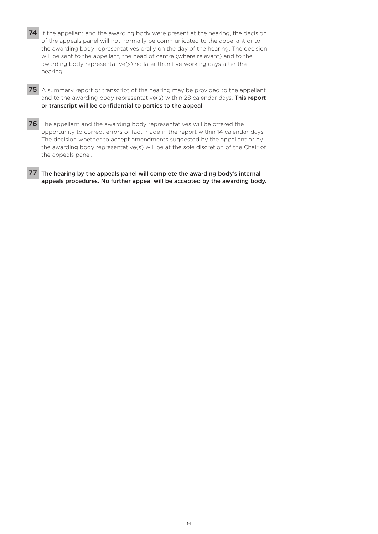74 If the appellant and the awarding body were present at the hearing, the decision of the appeals panel will not normally be communicated to the appellant or to the awarding body representatives orally on the day of the hearing. The decision will be sent to the appellant, the head of centre (where relevant) and to the awarding body representative(s) no later than five working days after the hearing.

75 A summary report or transcript of the hearing may be provided to the appellant and to the awarding body representative(s) within 28 calendar days. This report or transcript will be confidential to parties to the appeal.

76 The appellant and the awarding body representatives will be offered the opportunity to correct errors of fact made in the report within 14 calendar days. The decision whether to accept amendments suggested by the appellant or by the awarding body representative(s) will be at the sole discretion of the Chair of the appeals panel.

77 The hearing by the appeals panel will complete the awarding body's internal appeals procedures. No further appeal will be accepted by the awarding body.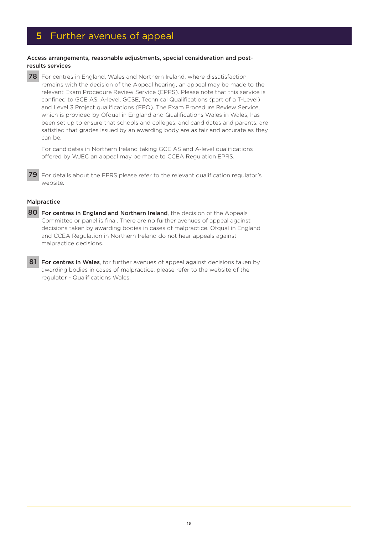### 5 Further avenues of appeal

### Access arrangements, reasonable adjustments, special consideration and postresults services

78 For centres in England, Wales and Northern Ireland, where dissatisfaction remains with the decision of the Appeal hearing, an appeal may be made to the relevant Exam Procedure Review Service (EPRS). Please note that this service is confined to GCE AS, A-level, GCSE, Technical Qualifications (part of a T-Level) and Level 3 Project qualifications (EPQ). The Exam Procedure Review Service, which is provided by Ofqual in England and Qualifications Wales in Wales, has been set up to ensure that schools and colleges, and candidates and parents, are satisfied that grades issued by an awarding body are as fair and accurate as they can be.

For candidates in Northern Ireland taking GCE AS and A-level qualifications offered by WJEC an appeal may be made to CCEA Regulation EPRS.

79 For details about the EPRS please refer to the relevant qualification regulator's website.

### Malpractice

- 80 For centres in England and Northern Ireland, the decision of the Appeals Committee or panel is final. There are no further avenues of appeal against decisions taken by awarding bodies in cases of malpractice. Ofqual in England and CCEA Regulation in Northern Ireland do not hear appeals against malpractice decisions.
- 81 For centres in Wales, for further avenues of appeal against decisions taken by awarding bodies in cases of malpractice, please refer to the website of the regulator - Qualifications Wales.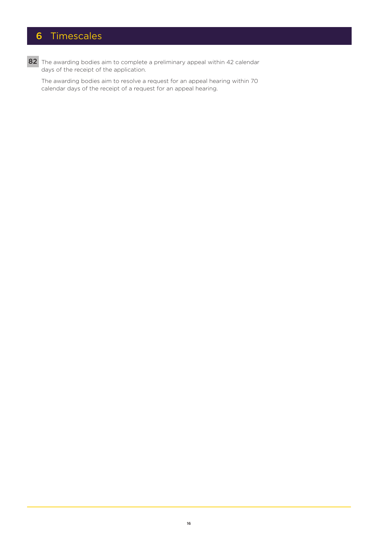## 6 Timescales

82 The awarding bodies aim to complete a preliminary appeal within 42 calendar days of the receipt of the application.

The awarding bodies aim to resolve a request for an appeal hearing within 70 calendar days of the receipt of a request for an appeal hearing.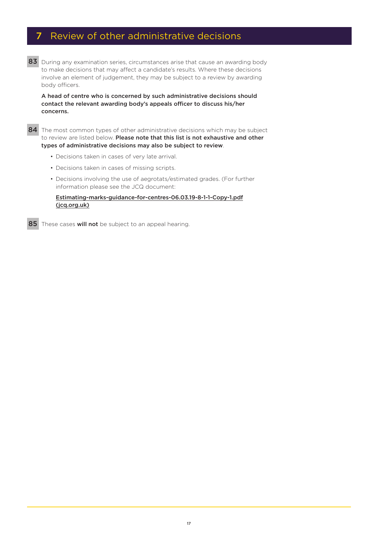### 7 Review of other administrative decisions

83 During any examination series, circumstances arise that cause an awarding body to make decisions that may affect a candidate's results. Where these decisions involve an element of judgement, they may be subject to a review by awarding body officers.

A head of centre who is concerned by such administrative decisions should contact the relevant awarding body's appeals officer to discuss his/her concerns.

84 The most common types of other administrative decisions which may be subject to review are listed below. Please note that this list is not exhaustive and other types of administrative decisions may also be subject to review.

- Decisions taken in cases of very late arrival.
- Decisions taken in cases of missing scripts.
- Decisions involving the use of aegrotats/estimated grades. (For further information please see the JCQ document:

[Estimating-marks-guidance-for-centres-06.03.19-8-1-1-Copy-1.pdf](https://www.jcq.org.uk/wp-content/uploads/2020/06/Estimating-marks-guidance-for-centres-06.03.19-8-1-1-Copy-1.pdf) [\(jcq.org.uk\)](https://www.jcq.org.uk/wp-content/uploads/2020/06/Estimating-marks-guidance-for-centres-06.03.19-8-1-1-Copy-1.pdf)

85 These cases will not be subject to an appeal hearing.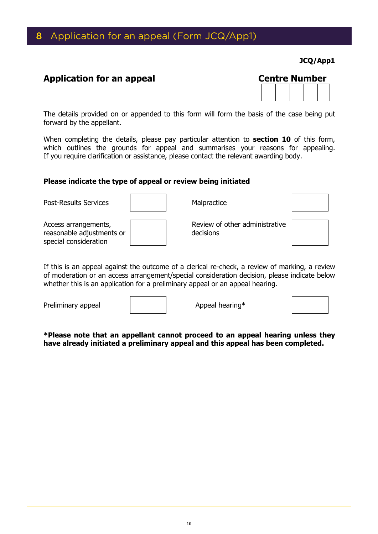### 8 Application for an appeal (Form JCQ/App1)

**JCQ/App1**

### **Application for an appeal**

| Centre Number |  |  |  |  |  |
|---------------|--|--|--|--|--|
|               |  |  |  |  |  |
|               |  |  |  |  |  |

The details provided on or appended to this form will form the basis of the case being put forward by the appellant.

When completing the details, please pay particular attention to **section 10** of this form, which outlines the grounds for appeal and summarises your reasons for appealing. If you require clarification or assistance, please contact the relevant awarding body.

### **Please indicate the type of appeal or review being initiated**

| <b>Post-Results Services</b>                                               | Malpractice                                 |  |
|----------------------------------------------------------------------------|---------------------------------------------|--|
| Access arrangements,<br>reasonable adjustments or<br>special consideration | Review of other administrative<br>decisions |  |

If this is an appeal against the outcome of a clerical re-check, a review of marking, a review of moderation or an access arrangement/special consideration decision, please indicate below whether this is an application for a preliminary appeal or an appeal hearing.

Preliminary appeal  $\overline{a}$  | Appeal hearing\*

**\*Please note that an appellant cannot proceed to an appeal hearing unless they have already initiated a preliminary appeal and this appeal has been completed.**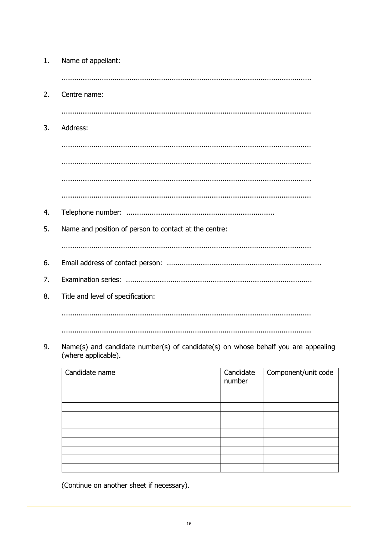| 1. | Name of appellant:                                    |
|----|-------------------------------------------------------|
|    |                                                       |
| 2. | Centre name:                                          |
|    |                                                       |
| 3. | Address:                                              |
|    |                                                       |
|    |                                                       |
|    |                                                       |
|    |                                                       |
| 4. |                                                       |
| 5. | Name and position of person to contact at the centre: |
|    |                                                       |
| 6. |                                                       |
| 7. |                                                       |
| 8. | Title and level of specification:                     |
|    |                                                       |
|    |                                                       |

Name(s) and candidate number(s) of candidate(s) on whose behalf you are appealing 9. (where applicable).

| Candidate name | Candidate<br>number | Component/unit code |
|----------------|---------------------|---------------------|
|                |                     |                     |
|                |                     |                     |
|                |                     |                     |
|                |                     |                     |
|                |                     |                     |
|                |                     |                     |
|                |                     |                     |
|                |                     |                     |
|                |                     |                     |
|                |                     |                     |

(Continue on another sheet if necessary).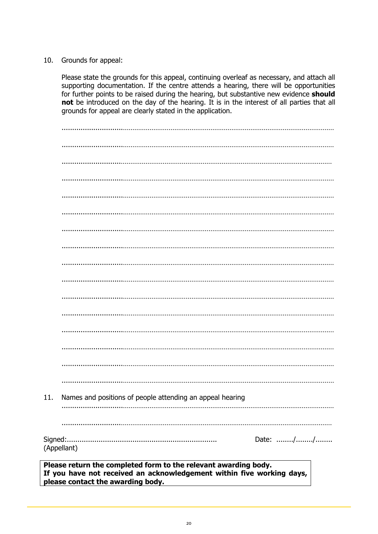### 10. Grounds for appeal:

Please state the grounds for this appeal, continuing overleaf as necessary, and attach all supporting documentation. If the centre attends a hearing, there will be opportunities for further points to be raised during the hearing, but substantive new evidence **should not** be introduced on the day of the hearing. It is in the interest of all parties that all grounds for appeal are clearly stated in the application.

| 11. | Names and positions of people attending an appeal hearing |          |  |
|-----|-----------------------------------------------------------|----------|--|
|     |                                                           |          |  |
|     |                                                           |          |  |
|     | (Appellant)                                               | Date: // |  |

**Please return the completed form to the relevant awarding body. If you have not received an acknowledgement within five working days, please contact the awarding body.**